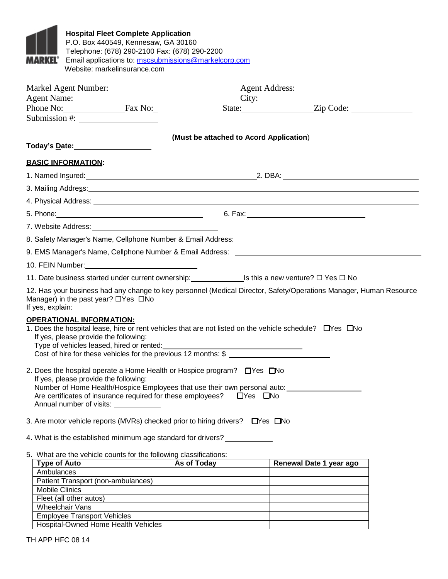

**Hospital Fleet Complete Application**  P.O. Box 440549, Kennesaw, GA 30160 Telephone: (678) 290-2100 Fax: (678) 290-2200 Email applications to: mscsubmissions@markelcorp.com Website: markelinsurance.com

|                                                                                                                                                                                                                                                                                                                                                                                                                                                                                                                                                                                                                                | Markel Agent Number:                    |                                  |  |  |  |
|--------------------------------------------------------------------------------------------------------------------------------------------------------------------------------------------------------------------------------------------------------------------------------------------------------------------------------------------------------------------------------------------------------------------------------------------------------------------------------------------------------------------------------------------------------------------------------------------------------------------------------|-----------------------------------------|----------------------------------|--|--|--|
| Agent Name: 1988 and 2008 and 2008 and 2008 and 2008 and 2008 and 2008 and 2008 and 2008 and 2008 and 2008 and 2008 and 2008 and 2008 and 2008 and 2008 and 2008 and 2008 and 2008 and 2008 and 2008 and 2008 and 2008 and 200                                                                                                                                                                                                                                                                                                                                                                                                 |                                         | City:<br>State: <u>Zip Code:</u> |  |  |  |
| Phone No: Fax No:                                                                                                                                                                                                                                                                                                                                                                                                                                                                                                                                                                                                              |                                         |                                  |  |  |  |
| Submission #: $\frac{1}{2}$                                                                                                                                                                                                                                                                                                                                                                                                                                                                                                                                                                                                    |                                         |                                  |  |  |  |
|                                                                                                                                                                                                                                                                                                                                                                                                                                                                                                                                                                                                                                | (Must be attached to Acord Application) |                                  |  |  |  |
| Today's <u>D</u> ate: 1997                                                                                                                                                                                                                                                                                                                                                                                                                                                                                                                                                                                                     |                                         |                                  |  |  |  |
| <b>BASIC INFORMATION:</b>                                                                                                                                                                                                                                                                                                                                                                                                                                                                                                                                                                                                      |                                         |                                  |  |  |  |
|                                                                                                                                                                                                                                                                                                                                                                                                                                                                                                                                                                                                                                |                                         |                                  |  |  |  |
| 3. Mailing Address: <u>contract the contract of the contract of the contract of the contract of the contract of the contract of the contract of the contract of the contract of the contract of the contract of the contract of </u>                                                                                                                                                                                                                                                                                                                                                                                           |                                         |                                  |  |  |  |
|                                                                                                                                                                                                                                                                                                                                                                                                                                                                                                                                                                                                                                |                                         |                                  |  |  |  |
|                                                                                                                                                                                                                                                                                                                                                                                                                                                                                                                                                                                                                                |                                         |                                  |  |  |  |
|                                                                                                                                                                                                                                                                                                                                                                                                                                                                                                                                                                                                                                |                                         |                                  |  |  |  |
| 8. Safety Manager's Name, Cellphone Number & Email Address: Letter Manager and Control of the Safety Manager's                                                                                                                                                                                                                                                                                                                                                                                                                                                                                                                 |                                         |                                  |  |  |  |
| 9. EMS Manager's Name, Cellphone Number & Email Address: ________________________                                                                                                                                                                                                                                                                                                                                                                                                                                                                                                                                              |                                         |                                  |  |  |  |
| 10. FEIN Number: _________________________________                                                                                                                                                                                                                                                                                                                                                                                                                                                                                                                                                                             |                                         |                                  |  |  |  |
| 11. Date business started under current ownership: ____________________Is this a new venture? $\Box$ Yes $\Box$ No                                                                                                                                                                                                                                                                                                                                                                                                                                                                                                             |                                         |                                  |  |  |  |
| 12. Has your business had any change to key personnel (Medical Director, Safety/Operations Manager, Human Resource<br>Manager) in the past year? $\Box$ Yes $\Box$ No<br>If yes, explain: the contract of the contract of the contract of the contract of the contract of the contract of the contract of the contract of the contract of the contract of the contract of the contract of the contract                                                                                                                                                                                                                         |                                         |                                  |  |  |  |
| <b>OPERATIONAL INFORMATION:</b><br>1. Does the hospital lease, hire or rent vehicles that are not listed on the vehicle schedule? $\Box$ Yes $\Box$ No<br>If yes, please provide the following:<br>Type of vehicles leased, hired or rented:<br>Cost of hire for these vehicles for the previous 12 months: \$<br>2. Does the hospital operate a Home Health or Hospice program?<br>TYes <a><br/>If yes, please provide the following:<br/>Number of Home Health/Hospice Employees that use their own personal auto:<br/>Are certificates of insurance required for these employees? □Yes □No<br/>Annual number of visits:</a> |                                         |                                  |  |  |  |
| 3. Are motor vehicle reports (MVRs) checked prior to hiring drivers? Thes TNo                                                                                                                                                                                                                                                                                                                                                                                                                                                                                                                                                  |                                         |                                  |  |  |  |
| 4. What is the established minimum age standard for drivers?                                                                                                                                                                                                                                                                                                                                                                                                                                                                                                                                                                   |                                         |                                  |  |  |  |
| 5. What are the vehicle counts for the following classifications:                                                                                                                                                                                                                                                                                                                                                                                                                                                                                                                                                              |                                         |                                  |  |  |  |
| <b>Type of Auto</b><br>Ambulances                                                                                                                                                                                                                                                                                                                                                                                                                                                                                                                                                                                              | As of Today                             | Renewal Date 1 year ago          |  |  |  |
| Patient Transport (non-ambulances)                                                                                                                                                                                                                                                                                                                                                                                                                                                                                                                                                                                             |                                         |                                  |  |  |  |
| Mobile Clinics                                                                                                                                                                                                                                                                                                                                                                                                                                                                                                                                                                                                                 |                                         |                                  |  |  |  |
| Fleet (all other autos)                                                                                                                                                                                                                                                                                                                                                                                                                                                                                                                                                                                                        |                                         |                                  |  |  |  |
| Wheelchair Vans                                                                                                                                                                                                                                                                                                                                                                                                                                                                                                                                                                                                                |                                         |                                  |  |  |  |
| <b>Employee Transport Vehicles</b>                                                                                                                                                                                                                                                                                                                                                                                                                                                                                                                                                                                             |                                         |                                  |  |  |  |

Hospital-Owned Home Health Vehicles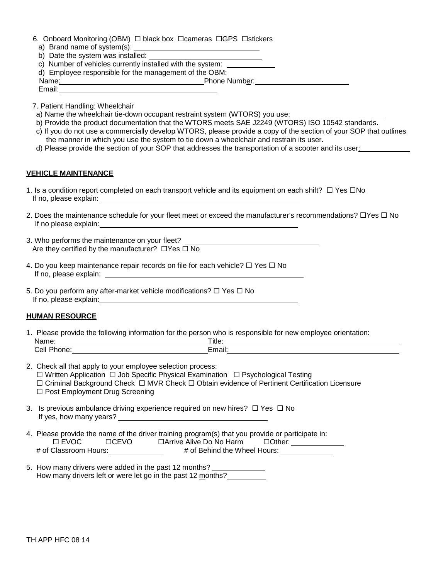- 6. Onboard Monitoring (OBM)  $\Box$  black box  $\Box$  cameras  $\Box$  GPS  $\Box$  stickers
	- a) Brand name of system(s):
- b) Date the system was installed:
- c) Number of vehicles currently installed with the system:
- d) Employee responsible for the management of the OBM:
- Name: Phone Number: Phone Number: Email:
- 
- 7. Patient Handling: Wheelchair
- a) Name the wheelchair tie-down occupant restraint system (WTORS) you use:
- b) Provide the product documentation that the WTORS meets SAE J2249 (WTORS) ISO 10542 standards.
- c) If you do not use a commercially develop WTORS, please provide a copy of the section of your SOP that outlines the manner in which you use the system to tie down a wheelchair and restrain its user.
- d) Please provide the section of your SOP that addresses the transportation of a scooter and its user:

#### **VEHICLE MAINTENANCE**

- 1. Is a condition report completed on each transport vehicle and its equipment on each shift?  $\Box$  Yes  $\Box$ No If no, please explain:
- 2. Does the maintenance schedule for your fleet meet or exceed the manufacturer's recommendations?  $\Box$  Yes  $\Box$  No If no please explain:
- 3. Who performs the maintenance on your fleet? Are they certified by the manufacturer?  $\Box$  Yes  $\Box$  No
- 4. Do you keep maintenance repair records on file for each vehicle?  $\Box$  Yes  $\Box$  No If no, please explain:
- 5. Do you perform any after-market vehicle modifications?  $\Box$  Yes  $\Box$  No If no, please explain:

### **HUMAN RESOURCE**

- 1. Please provide the following information for the person who is responsible for new employee orientation: Name: Title: Cell Phone: Email:
- 2. Check all that apply to your employee selection process:  $\Box$  Written Application  $\Box$  Job Specific Physical Examination  $\Box$  Psychological Testing  $\Box$  Criminal Background Check  $\Box$  MVR Check  $\Box$  Obtain evidence of Pertinent Certification Licensure □ Post Employment Drug Screening 3. Is previous ambulance driving experience required on new hires?  $\Box$  Yes  $\Box$  No If yes, how many years?
- 4. Please provide the name of the driver training program(s) that you provide or participate in: □ EVOC CCEVO DArrive Alive Do No Harm COther: # of Classroom Hours:\_\_\_\_\_\_\_\_\_\_\_\_\_\_\_\_ # of Behind the Wheel Hours:
- 5. How many drivers were added in the past 12 months? How many drivers were added in the past 12 months?<br>How many drivers left or were let go in the past 12 months?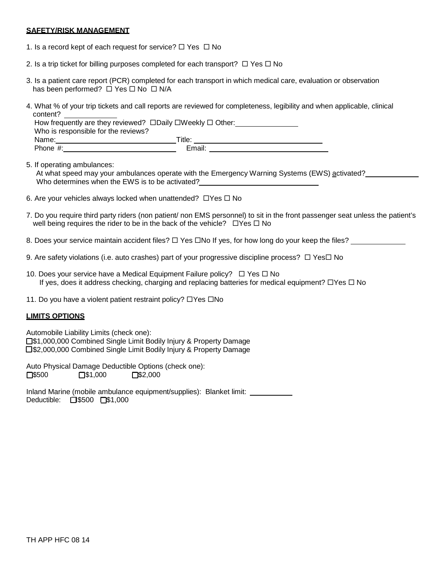#### **SAFETY/RISK MANAGEMENT**

- 1. Is a record kept of each request for service?  $\Box$  Yes  $\Box$  No
- 2. Is a trip ticket for billing purposes completed for each transport?  $\Box$  Yes  $\Box$  No
- 3. Is a patient care report (PCR) completed for each transport in which medical care, evaluation or observation has been performed?  $\Box$  Yes  $\Box$  No  $\Box$  N/A
- 4. What % of your trip tickets and call reports are reviewed for completeness, legibility and when applicable, clinical content?

| How frequently are they reviewed? $\square$ Daily $\square$ Weekly $\square$ Other: |        |
|-------------------------------------------------------------------------------------|--------|
| Who is responsible for the reviews?                                                 |        |
| Name:                                                                               | Title: |
| Phone $#$ :                                                                         | Email: |

5. If operating ambulances:

At what speed may your ambulances operate with the Emergency Warning Systems (EWS) activated? Who determines when the EWS is to be activated?

- 6. Are your vehicles always locked when unattended?  $\Box$  Yes  $\Box$  No
- 7. Do you require third party riders (non patient/ non EMS personnel) to sit in the front passenger seat unless the patient's well being requires the rider to be in the back of the vehicle?  $\Box$  Yes  $\Box$  No
- 8. Does your service maintain accident files?  $\Box$  Yes  $\Box$  No If yes, for how long do your keep the files?
- 9. Are safety violations (i.e. auto crashes) part of your progressive discipline process?  $\Box$  Yes $\Box$  No
- 10. Does your service have a Medical Equipment Failure policy?  $\Box$  Yes  $\Box$  No If yes, does it address checking, charging and replacing batteries for medical equipment?  $\Box$  Yes  $\Box$  No
- 11. Do you have a violent patient restraint policy?  $\Box$  Yes  $\Box$  No

## **LIMITS OPTIONS**

 \$1,000,000 Combined Single Limit Bodily Injury & Property Damage \$2,000,000 Combined Single Limit Bodily Injury & Property Damage Automobile Liability Limits (check one):

 $\square$ \$500  $\square$ \$1,000  $\square$ \$2,000 Auto Physical Damage Deductible Options (check one):<br>  $\Box$ \$500  $\Box$ \$1,000  $\Box$ \$2,000

Deductible: □\$500 □\$1,000 Inland Marine (mobile ambulance equipment/supplies): Blanket limit: